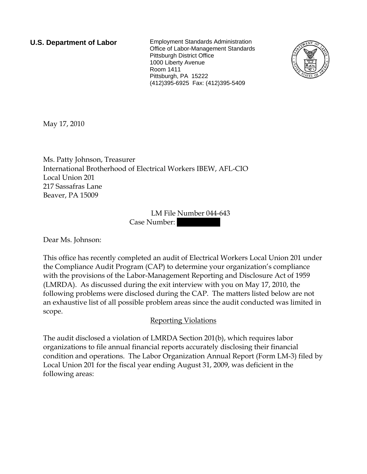**U.S. Department of Labor** Employment Standards Administration Office of Labor-Management Standards Pittsburgh District Office 1000 Liberty Avenue Room 1411 Pittsburgh, PA 15222 (412)395-6925 Fax: (412)395-5409



May 17, 2010

Ms. Patty Johnson, Treasurer International Brotherhood of Electrical Workers IBEW, AFL-CIO Local Union 201 217 Sassafras Lane Beaver, PA 15009

> LM File Number 044-643 Case Number:

Dear Ms. Johnson:

This office has recently completed an audit of Electrical Workers Local Union 201 under the Compliance Audit Program (CAP) to determine your organization's compliance with the provisions of the Labor-Management Reporting and Disclosure Act of 1959 (LMRDA). As discussed during the exit interview with you on May 17, 2010, the following problems were disclosed during the CAP. The matters listed below are not an exhaustive list of all possible problem areas since the audit conducted was limited in scope.

## Reporting Violations

The audit disclosed a violation of LMRDA Section 201(b), which requires labor organizations to file annual financial reports accurately disclosing their financial condition and operations. The Labor Organization Annual Report (Form LM-3) filed by Local Union 201 for the fiscal year ending August 31, 2009, was deficient in the following areas: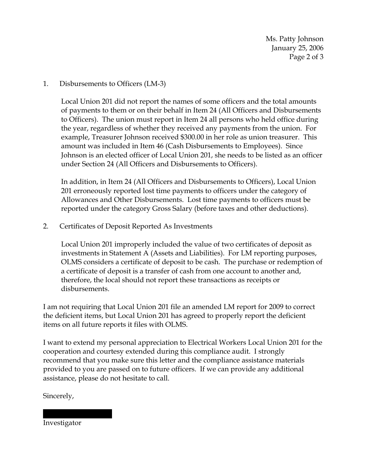Ms. Patty Johnson January 25, 2006 Page 2 of 3

## 1. Disbursements to Officers (LM-3)

Local Union 201 did not report the names of some officers and the total amounts of payments to them or on their behalf in Item 24 (All Officers and Disbursements to Officers). The union must report in Item 24 all persons who held office during the year, regardless of whether they received any payments from the union. For example, Treasurer Johnson received \$300.00 in her role as union treasurer. This amount was included in Item 46 (Cash Disbursements to Employees). Since Johnson is an elected officer of Local Union 201, she needs to be listed as an officer under Section 24 (All Officers and Disbursements to Officers).

In addition, in Item 24 (All Officers and Disbursements to Officers), Local Union 201 erroneously reported lost time payments to officers under the category of Allowances and Other Disbursements. Lost time payments to officers must be reported under the category Gross Salary (before taxes and other deductions).

## 2. Certificates of Deposit Reported As Investments

Local Union 201 improperly included the value of two certificates of deposit as investments in Statement A (Assets and Liabilities). For LM reporting purposes, OLMS considers a certificate of deposit to be cash. The purchase or redemption of a certificate of deposit is a transfer of cash from one account to another and, therefore, the local should not report these transactions as receipts or disbursements.

I am not requiring that Local Union 201 file an amended LM report for 2009 to correct the deficient items, but Local Union 201 has agreed to properly report the deficient items on all future reports it files with OLMS.

I want to extend my personal appreciation to Electrical Workers Local Union 201 for the cooperation and courtesy extended during this compliance audit. I strongly recommend that you make sure this letter and the compliance assistance materials provided to you are passed on to future officers. If we can provide any additional assistance, please do not hesitate to call.

Sincerely,

Investigator

|||| |||| |||||||